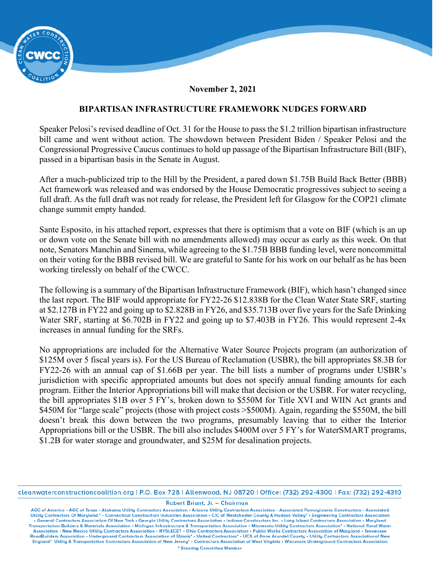

**November 2, 2021** 

## **BIPARTISAN INFRASTRUCTURE FRAMEWORK NUDGES FORWARD**

Speaker Pelosi's revised deadline of Oct. 31 for the House to pass the \$1.2 trillion bipartisan infrastructure bill came and went without action. The showdown between President Biden / Speaker Pelosi and the Congressional Progressive Caucus continues to hold up passage of the Bipartisan Infrastructure Bill (BIF), passed in a bipartisan basis in the Senate in August.

After a much-publicized trip to the Hill by the President, a pared down \$1.75B Build Back Better (BBB) Act framework was released and was endorsed by the House Democratic progressives subject to seeing a full draft. As the full draft was not ready for release, the President left for Glasgow for the COP21 climate change summit empty handed.

Sante Esposito, in his attached report, expresses that there is optimism that a vote on BIF (which is an up or down vote on the Senate bill with no amendments allowed) may occur as early as this week. On that note, Senators Manchin and Sinema, while agreeing to the \$1.75B BBB funding level, were noncommittal on their voting for the BBB revised bill. We are grateful to Sante for his work on our behalf as he has been working tirelessly on behalf of the CWCC.

The following is a summary of the Bipartisan Infrastructure Framework (BIF), which hasn't changed since the last report. The BIF would appropriate for FY22-26 \$12.838B for the Clean Water State SRF, starting at \$2.127B in FY22 and going up to \$2.828B in FY26, and \$35.713B over five years for the Safe Drinking Water SRF, starting at \$6.702B in FY22 and going up to \$7.403B in FY26. This would represent 2-4x increases in annual funding for the SRFs.

No appropriations are included for the Alternative Water Source Projects program (an authorization of \$125M over 5 fiscal years is). For the US Bureau of Reclamation (USBR), the bill appropriates \$8.3B for FY22-26 with an annual cap of \$1.66B per year. The bill lists a number of programs under USBR's jurisdiction with specific appropriated amounts but does not specify annual funding amounts for each program. Either the Interior Appropriations bill will make that decision or the USBR. For water recycling, the bill appropriates \$1B over 5 FY's, broken down to \$550M for Title XVI and WIIN Act grants and \$450M for "large scale" projects (those with project costs >\$500M). Again, regarding the \$550M, the bill doesn't break this down between the two programs, presumably leaving that to either the Interior Appropriations bill or the USBR. The bill also includes \$400M over 5 FY's for WaterSMART programs, \$1.2B for water storage and groundwater, and \$25M for desalination projects.

cleanwaterconstructioncoalition.org | P.O. Box 728 | Allenwood, NJ 08720 | Office: (732) 292-4300 | Fax: (732) 292-4310

Robert Briant, Jr. - Chairman

AGC of America • AGC of Texas • Alabama Utility Contractors Association • Arizona Utility Contractors Association • Associated Pennsylvania Constructors • Associated Utility Contractors • Associated Utility Contractors Ass . General Contractors Association Of New York . Georgia Utility Contractors Association . Indiana Constructors Inc. . Long Island Contractors Association . Maryland Transportation Builders & Materials Association • Michigan Infrastructure & Transportation Association • Minnesota Utility Contractors Association\* • National Rural Water Association • New Mexico Utility Contractors Association • NYSLECET • Ohio Contractors Association • Public Works Contractors Association of Maryland • Tennessee<br>RoadBuilders Association • Underground Contractors Associati England\* Utility & Transportation Contractors Association of New Jersey\* . Contractors Association of West Virginia . Wisconsin Underground Contractors Association \* Steering Committee Member